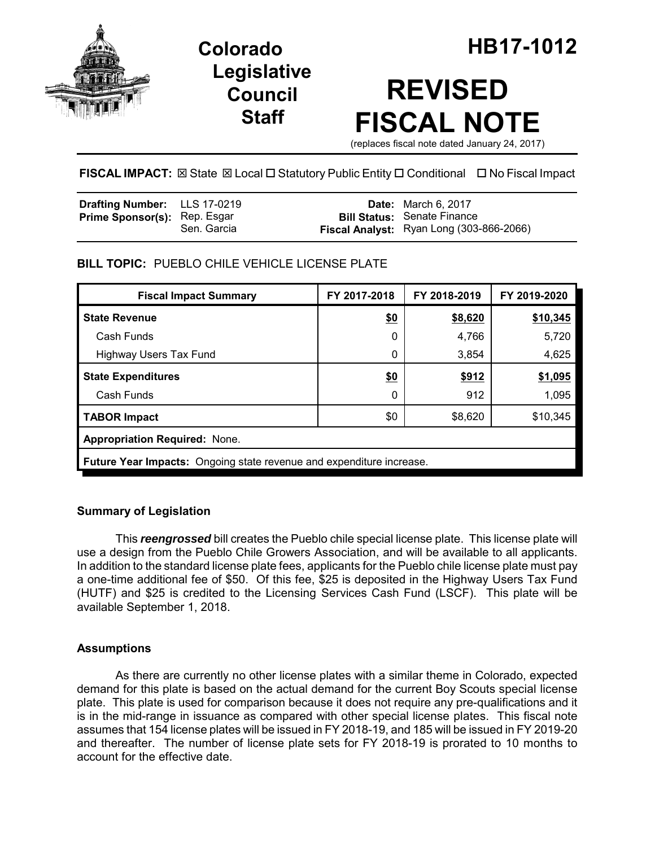

## **Legislative Council Staff**

# **REVISED FISCAL NOTE**

(replaces fiscal note dated January 24, 2017)

**FISCAL IMPACT:** ⊠ State ⊠ Local □ Statutory Public Entity □ Conditional □ No Fiscal Impact

| <b>Drafting Number:</b> LLS 17-0219 |             | <b>Date:</b> March 6, 2017                                                     |
|-------------------------------------|-------------|--------------------------------------------------------------------------------|
| <b>Prime Sponsor(s): Rep. Esgar</b> | Sen. Garcia | <b>Bill Status: Senate Finance</b><br>Fiscal Analyst: Ryan Long (303-866-2066) |

## **BILL TOPIC:** PUEBLO CHILE VEHICLE LICENSE PLATE

| <b>Fiscal Impact Summary</b>                                         | FY 2017-2018 | FY 2018-2019 | FY 2019-2020 |  |
|----------------------------------------------------------------------|--------------|--------------|--------------|--|
| <b>State Revenue</b>                                                 | \$0          | \$8,620      | \$10,345     |  |
| Cash Funds                                                           | 0            | 4,766        | 5,720        |  |
| <b>Highway Users Tax Fund</b>                                        | 0            | 3,854        | 4,625        |  |
| <b>State Expenditures</b>                                            | \$0          | \$912        | \$1,095      |  |
| Cash Funds                                                           | 0            | 912          | 1,095        |  |
| <b>TABOR Impact</b>                                                  | \$0          | \$8,620      | \$10,345     |  |
| <b>Appropriation Required: None.</b>                                 |              |              |              |  |
| Future Year Impacts: Ongoing state revenue and expenditure increase. |              |              |              |  |

### **Summary of Legislation**

This *reengrossed* bill creates the Pueblo chile special license plate. This license plate will use a design from the Pueblo Chile Growers Association, and will be available to all applicants. In addition to the standard license plate fees, applicants for the Pueblo chile license plate must pay a one-time additional fee of \$50. Of this fee, \$25 is deposited in the Highway Users Tax Fund (HUTF) and \$25 is credited to the Licensing Services Cash Fund (LSCF). This plate will be available September 1, 2018.

## **Assumptions**

As there are currently no other license plates with a similar theme in Colorado, expected demand for this plate is based on the actual demand for the current Boy Scouts special license plate. This plate is used for comparison because it does not require any pre-qualifications and it is in the mid-range in issuance as compared with other special license plates. This fiscal note assumes that 154 license plates will be issued in FY 2018-19, and 185 will be issued in FY 2019-20 and thereafter. The number of license plate sets for FY 2018-19 is prorated to 10 months to account for the effective date.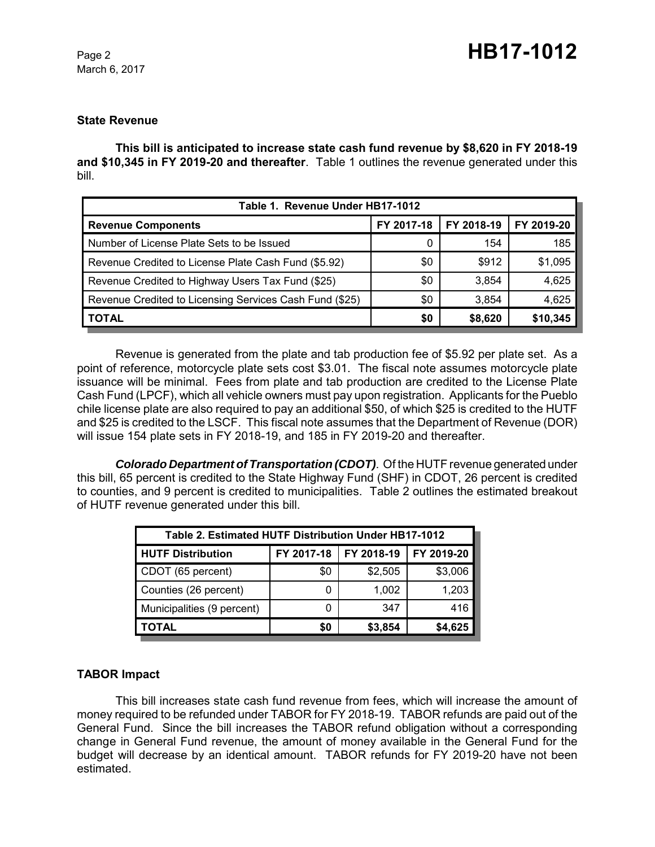March 6, 2017

#### **State Revenue**

**This bill is anticipated to increase state cash fund revenue by \$8,620 in FY 2018-19 and \$10,345 in FY 2019-20 and thereafter**. Table 1 outlines the revenue generated under this bill.

| Table 1. Revenue Under HB17-1012                        |            |            |            |  |  |
|---------------------------------------------------------|------------|------------|------------|--|--|
| <b>Revenue Components</b>                               | FY 2017-18 | FY 2018-19 | FY 2019-20 |  |  |
| Number of License Plate Sets to be Issued               | 0          | 154        | 185        |  |  |
| Revenue Credited to License Plate Cash Fund (\$5.92)    | \$0        | \$912      | \$1,095    |  |  |
| Revenue Credited to Highway Users Tax Fund (\$25)       | \$0        | 3,854      | 4,625      |  |  |
| Revenue Credited to Licensing Services Cash Fund (\$25) | \$0        | 3.854      | 4,625      |  |  |
| <b>TOTAL</b>                                            | \$0        | \$8,620    | \$10,345   |  |  |

Revenue is generated from the plate and tab production fee of \$5.92 per plate set. As a point of reference, motorcycle plate sets cost \$3.01. The fiscal note assumes motorcycle plate issuance will be minimal. Fees from plate and tab production are credited to the License Plate Cash Fund (LPCF), which all vehicle owners must pay upon registration. Applicants for the Pueblo chile license plate are also required to pay an additional \$50, of which \$25 is credited to the HUTF and \$25 is credited to the LSCF. This fiscal note assumes that the Department of Revenue (DOR) will issue 154 plate sets in FY 2018-19, and 185 in FY 2019-20 and thereafter.

*Colorado Department of Transportation (CDOT)*. Of the HUTF revenue generated under this bill, 65 percent is credited to the State Highway Fund (SHF) in CDOT, 26 percent is credited to counties, and 9 percent is credited to municipalities. Table 2 outlines the estimated breakout of HUTF revenue generated under this bill.

| Table 2. Estimated HUTF Distribution Under HB17-1012 |            |            |            |  |
|------------------------------------------------------|------------|------------|------------|--|
| <b>HUTF Distribution</b>                             | FY 2017-18 | FY 2018-19 | FY 2019-20 |  |
| CDOT (65 percent)                                    | \$0        | \$2,505    | \$3,006    |  |
| Counties (26 percent)                                |            | 1,002      | 1,203      |  |
| Municipalities (9 percent)                           |            | 347        | 416        |  |
| TOTAL                                                | 50         | \$3,854    | \$4,625    |  |

#### **TABOR Impact**

This bill increases state cash fund revenue from fees, which will increase the amount of money required to be refunded under TABOR for FY 2018-19. TABOR refunds are paid out of the General Fund. Since the bill increases the TABOR refund obligation without a corresponding change in General Fund revenue, the amount of money available in the General Fund for the budget will decrease by an identical amount. TABOR refunds for FY 2019-20 have not been estimated.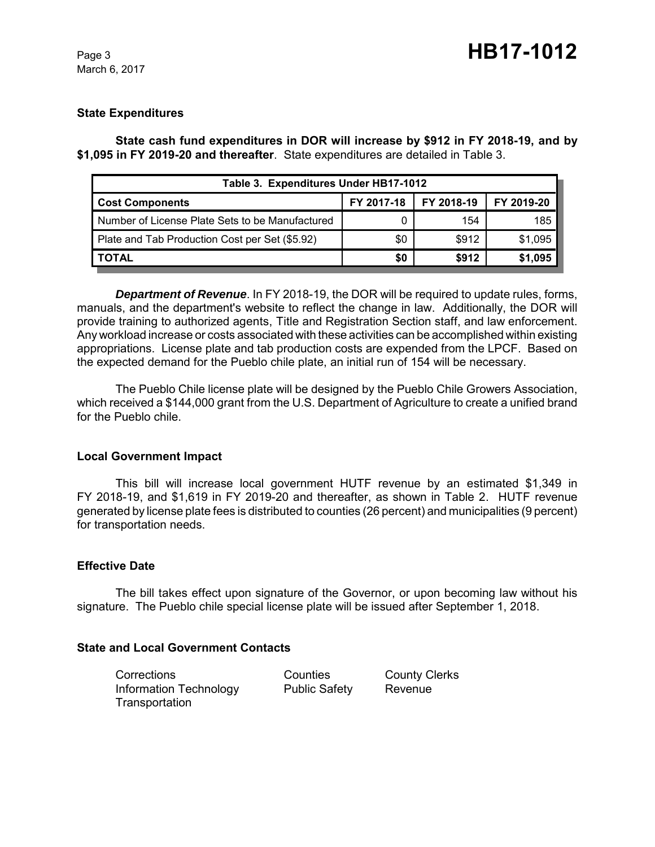#### **State Expenditures**

**State cash fund expenditures in DOR will increase by \$912 in FY 2018-19, and by \$1,095 in FY 2019-20 and thereafter**. State expenditures are detailed in Table 3.

| Table 3. Expenditures Under HB17-1012           |            |            |            |  |  |
|-------------------------------------------------|------------|------------|------------|--|--|
| <b>Cost Components</b>                          | FY 2017-18 | FY 2018-19 | FY 2019-20 |  |  |
| Number of License Plate Sets to be Manufactured |            | 154        | 185        |  |  |
| Plate and Tab Production Cost per Set (\$5.92)  | \$0        | \$912      | \$1,095    |  |  |
| I TOTAL                                         | \$0        | \$912      | \$1,095    |  |  |

*Department of Revenue*. In FY 2018-19, the DOR will be required to update rules, forms, manuals, and the department's website to reflect the change in law. Additionally, the DOR will provide training to authorized agents, Title and Registration Section staff, and law enforcement. Any workload increase or costs associated with these activities can be accomplished within existing appropriations. License plate and tab production costs are expended from the LPCF. Based on the expected demand for the Pueblo chile plate, an initial run of 154 will be necessary.

The Pueblo Chile license plate will be designed by the Pueblo Chile Growers Association, which received a \$144,000 grant from the U.S. Department of Agriculture to create a unified brand for the Pueblo chile.

#### **Local Government Impact**

This bill will increase local government HUTF revenue by an estimated \$1,349 in FY 2018-19, and \$1,619 in FY 2019-20 and thereafter, as shown in Table 2. HUTF revenue generated by license plate fees is distributed to counties (26 percent) and municipalities (9 percent) for transportation needs.

#### **Effective Date**

The bill takes effect upon signature of the Governor, or upon becoming law without his signature. The Pueblo chile special license plate will be issued after September 1, 2018.

#### **State and Local Government Contacts**

Corrections Counties County Clerks Information Technology Public Safety Revenue **Transportation**